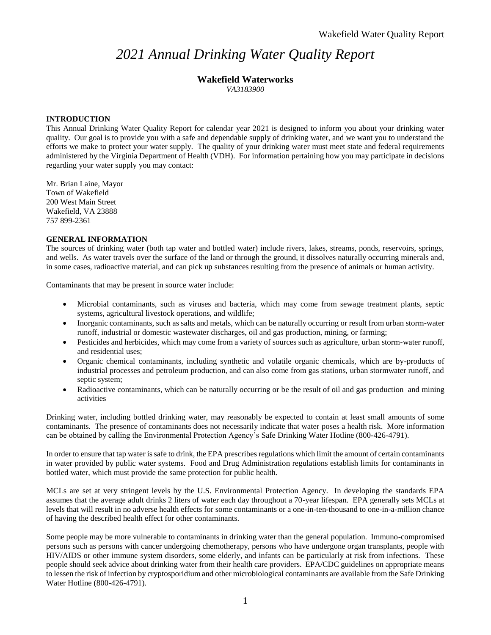# *2021 Annual Drinking Water Quality Report*

# **Wakefield Waterworks**

*VA3183900*

#### **INTRODUCTION**

This Annual Drinking Water Quality Report for calendar year 2021 is designed to inform you about your drinking water quality. Our goal is to provide you with a safe and dependable supply of drinking water, and we want you to understand the efforts we make to protect your water supply. The quality of your drinking water must meet state and federal requirements administered by the Virginia Department of Health (VDH). For information pertaining how you may participate in decisions regarding your water supply you may contact:

Mr. Brian Laine, Mayor Town of Wakefield 200 West Main Street Wakefield, VA 23888 757 899-2361

#### **GENERAL INFORMATION**

The sources of drinking water (both tap water and bottled water) include rivers, lakes, streams, ponds, reservoirs, springs, and wells. As water travels over the surface of the land or through the ground, it dissolves naturally occurring minerals and, in some cases, radioactive material, and can pick up substances resulting from the presence of animals or human activity.

Contaminants that may be present in source water include:

- Microbial contaminants, such as viruses and bacteria, which may come from sewage treatment plants, septic systems, agricultural livestock operations, and wildlife;
- Inorganic contaminants, such as salts and metals, which can be naturally occurring or result from urban storm-water runoff, industrial or domestic wastewater discharges, oil and gas production, mining, or farming;
- Pesticides and herbicides, which may come from a variety of sources such as agriculture, urban storm-water runoff, and residential uses;
- Organic chemical contaminants, including synthetic and volatile organic chemicals, which are by-products of industrial processes and petroleum production, and can also come from gas stations, urban stormwater runoff, and septic system;
- Radioactive contaminants, which can be naturally occurring or be the result of oil and gas production and mining activities

Drinking water, including bottled drinking water, may reasonably be expected to contain at least small amounts of some contaminants. The presence of contaminants does not necessarily indicate that water poses a health risk. More information can be obtained by calling the Environmental Protection Agency's Safe Drinking Water Hotline (800-426-4791).

In order to ensure that tap water is safe to drink, the EPA prescribes regulations which limit the amount of certain contaminants in water provided by public water systems. Food and Drug Administration regulations establish limits for contaminants in bottled water, which must provide the same protection for public health.

MCLs are set at very stringent levels by the U.S. Environmental Protection Agency. In developing the standards EPA assumes that the average adult drinks 2 liters of water each day throughout a 70-year lifespan. EPA generally sets MCLs at levels that will result in no adverse health effects for some contaminants or a one-in-ten-thousand to one-in-a-million chance of having the described health effect for other contaminants.

Some people may be more vulnerable to contaminants in drinking water than the general population. Immuno-compromised persons such as persons with cancer undergoing chemotherapy, persons who have undergone organ transplants, people with HIV/AIDS or other immune system disorders, some elderly, and infants can be particularly at risk from infections. These people should seek advice about drinking water from their health care providers. EPA/CDC guidelines on appropriate means to lessen the risk of infection by cryptosporidium and other microbiological contaminants are available from the Safe Drinking Water Hotline (800-426-4791).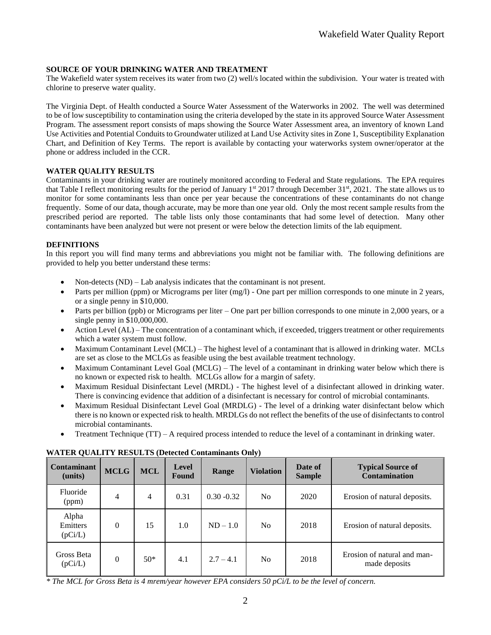### **SOURCE OF YOUR DRINKING WATER AND TREATMENT**

The Wakefield water system receives its water from two (2) well/s located within the subdivision. Your water is treated with chlorine to preserve water quality.

The Virginia Dept. of Health conducted a Source Water Assessment of the Waterworks in 2002. The well was determined to be of low susceptibility to contamination using the criteria developed by the state in its approved Source Water Assessment Program. The assessment report consists of maps showing the Source Water Assessment area, an inventory of known Land Use Activities and Potential Conduits to Groundwater utilized at Land Use Activity sites in Zone 1, Susceptibility Explanation Chart, and Definition of Key Terms. The report is available by contacting your waterworks system owner/operator at the phone or address included in the CCR.

#### **WATER QUALITY RESULTS**

Contaminants in your drinking water are routinely monitored according to Federal and State regulations. The EPA requires that Table I reflect monitoring results for the period of January  $1<sup>st</sup> 2017$  through December 31 $<sup>st</sup>$ , 2021. The state allows us to</sup> monitor for some contaminants less than once per year because the concentrations of these contaminants do not change frequently. Some of our data, though accurate, may be more than one year old. Only the most recent sample results from the prescribed period are reported. The table lists only those contaminants that had some level of detection. Many other contaminants have been analyzed but were not present or were below the detection limits of the lab equipment.

### **DEFINITIONS**

In this report you will find many terms and abbreviations you might not be familiar with. The following definitions are provided to help you better understand these terms:

- Non-detects (ND) Lab analysis indicates that the contaminant is not present.
- Parts per million (ppm) or Micrograms per liter  $(mg/l)$  One part per million corresponds to one minute in 2 years, or a single penny in \$10,000.
- $\bullet$  Parts per billion (ppb) or Micrograms per liter One part per billion corresponds to one minute in 2,000 years, or a single penny in \$10,000,000.
- $\bullet$  Action Level (AL) The concentration of a contaminant which, if exceeded, triggers treatment or other requirements which a water system must follow.
- Maximum Contaminant Level (MCL) The highest level of a contaminant that is allowed in drinking water. MCLs are set as close to the MCLGs as feasible using the best available treatment technology.
- Maximum Contaminant Level Goal (MCLG) The level of a contaminant in drinking water below which there is no known or expected risk to health. MCLGs allow for a margin of safety.
- Maximum Residual Disinfectant Level (MRDL) The highest level of a disinfectant allowed in drinking water. There is convincing evidence that addition of a disinfectant is necessary for control of microbial contaminants.
- Maximum Residual Disinfectant Level Goal (MRDLG) The level of a drinking water disinfectant below which there is no known or expected risk to health. MRDLGs do not reflect the benefits of the use of disinfectants to control microbial contaminants.
- Treatment Technique (TT) A required process intended to reduce the level of a contaminant in drinking water.

| <b>Contaminant</b><br>(units) | <b>MCLG</b>    | <b>MCL</b> | <b>Level</b><br>Found | Range         | <b>Violation</b> | Date of<br><b>Sample</b> | <b>Typical Source of</b><br><b>Contamination</b> |
|-------------------------------|----------------|------------|-----------------------|---------------|------------------|--------------------------|--------------------------------------------------|
| Fluoride<br>(ppm)             | 4              | 4          | 0.31                  | $0.30 - 0.32$ | N <sub>0</sub>   | 2020                     | Erosion of natural deposits.                     |
| Alpha<br>Emitters<br>(pCi/L)  | $\overline{0}$ | 15         | 1.0                   | $ND-1.0$      | N <sub>0</sub>   | 2018                     | Erosion of natural deposits.                     |
| Gross Beta<br>(pCi/L)         | $\theta$       | $50*$      | 4.1                   | $2.7 - 4.1$   | N <sub>0</sub>   | 2018                     | Erosion of natural and man-<br>made deposits     |

### **WATER QUALITY RESULTS (Detected Contaminants Only)**

*\* The MCL for Gross Beta is 4 mrem/year however EPA considers 50 pCi/L to be the level of concern.*